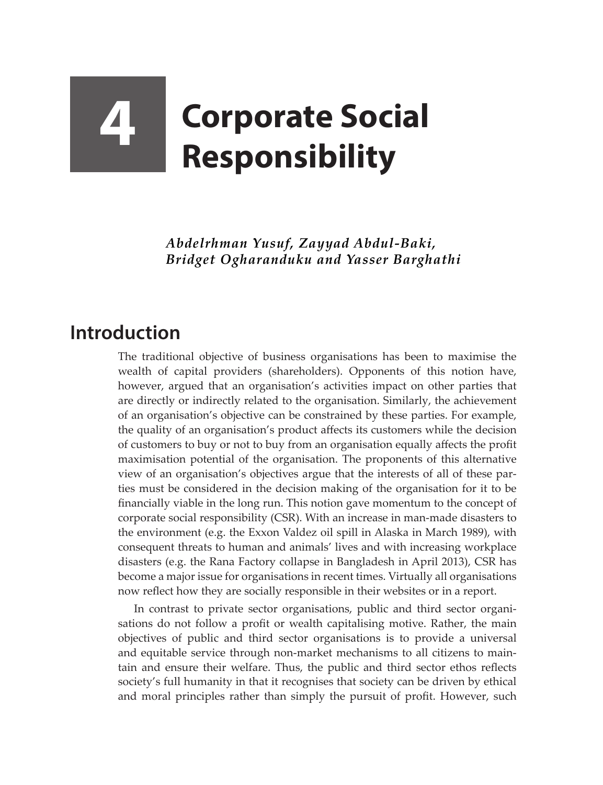## **4 Corporate Social Responsibility**

*Abdelrhman Yusuf, Zayyad Abdul-Baki, Bridget Ogharanduku and Yasser Barghathi*

## **Introduction**

The traditional objective of business organisations has been to maximise the wealth of capital providers (shareholders). Opponents of this notion have, however, argued that an organisation's activities impact on other parties that are directly or indirectly related to the organisation. Similarly, the achievement of an organisation's objective can be constrained by these parties. For example, the quality of an organisation's product affects its customers while the decision of customers to buy or not to buy from an organisation equally affects the profit maximisation potential of the organisation. The proponents of this alternative view of an organisation's objectives argue that the interests of all of these parties must be considered in the decision making of the organisation for it to be financially viable in the long run. This notion gave momentum to the concept of corporate social responsibility (CSR). With an increase in man-made disasters to the environment (e.g. the Exxon Valdez oil spill in Alaska in March 1989), with consequent threats to human and animals' lives and with increasing workplace disasters (e.g. the Rana Factory collapse in Bangladesh in April 2013), CSR has become a major issue for organisations in recent times. Virtually all organisations now reflect how they are socially responsible in their websites or in a report.

In contrast to private sector organisations, public and third sector organisations do not follow a profit or wealth capitalising motive. Rather, the main objectives of public and third sector organisations is to provide a universal and equitable service through non-market mechanisms to all citizens to maintain and ensure their welfare. Thus, the public and third sector ethos reflects society's full humanity in that it recognises that society can be driven by ethical and moral principles rather than simply the pursuit of profit. However, such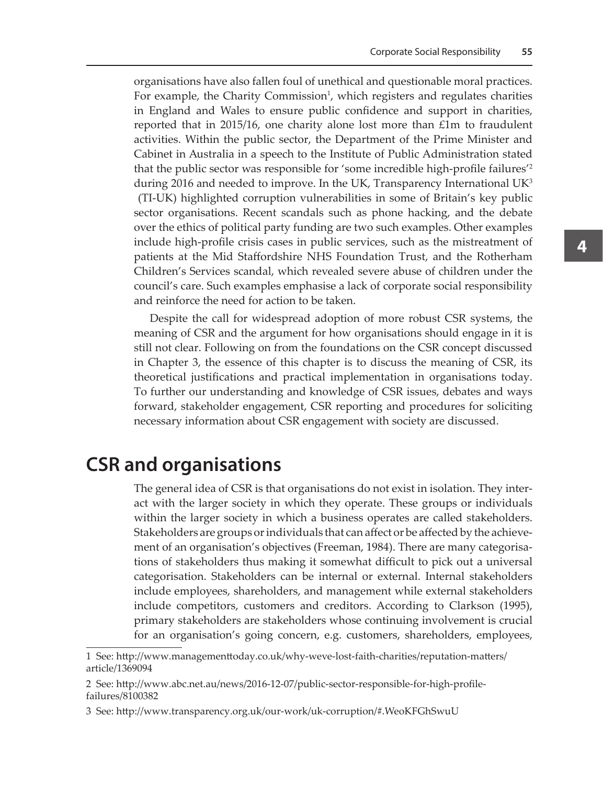organisations have also fallen foul of unethical and questionable moral practices. For example, the Charity Commission<sup>1</sup>, which registers and regulates charities in England and Wales to ensure public confidence and support in charities, reported that in 2015/16, one charity alone lost more than £1m to fraudulent activities. Within the public sector, the Department of the Prime Minister and Cabinet in Australia in a speech to the Institute of Public Administration stated that the public sector was responsible for 'some incredible high-profile failures'<sup>2</sup> during 2016 and needed to improve. In the UK, Transparency International UK<sup>3</sup> (TI-UK) highlighted corruption vulnerabilities in some of Britain's key public sector organisations. Recent scandals such as phone hacking, and the debate over the ethics of political party funding are two such examples. Other examples include high-profile crisis cases in public services, such as the mistreatment of patients at the Mid Staffordshire NHS Foundation Trust, and the Rotherham Children's Services scandal, which revealed severe abuse of children under the council's care. Such examples emphasise a lack of corporate social responsibility and reinforce the need for action to be taken.

Despite the call for widespread adoption of more robust CSR systems, the meaning of CSR and the argument for how organisations should engage in it is still not clear. Following on from the foundations on the CSR concept discussed in Chapter 3, the essence of this chapter is to discuss the meaning of CSR, its theoretical justifications and practical implementation in organisations today. To further our understanding and knowledge of CSR issues, debates and ways forward, stakeholder engagement, CSR reporting and procedures for soliciting necessary information about CSR engagement with society are discussed.

## **CSR and organisations**

The general idea of CSR is that organisations do not exist in isolation. They interact with the larger society in which they operate. These groups or individuals within the larger society in which a business operates are called stakeholders. Stakeholders are groups or individuals that can affect or be affected by the achievement of an organisation's objectives (Freeman, 1984). There are many categorisations of stakeholders thus making it somewhat difficult to pick out a universal categorisation. Stakeholders can be internal or external. Internal stakeholders include employees, shareholders, and management while external stakeholders include competitors, customers and creditors. According to Clarkson (1995), primary stakeholders are stakeholders whose continuing involvement is crucial for an organisation's going concern, e.g. customers, shareholders, employees,

<sup>1</sup> See: http://www.managementtoday.co.uk/why-weve-lost-faith-charities/reputation-matters/ article/1369094

<sup>2</sup> See: http://www.abc.net.au/news/2016-12-07/public-sector-responsible-for-high-profilefailures/8100382

<sup>3</sup> See: http://www.transparency.org.uk/our-work/uk-corruption/#.WeoKFGhSwuU